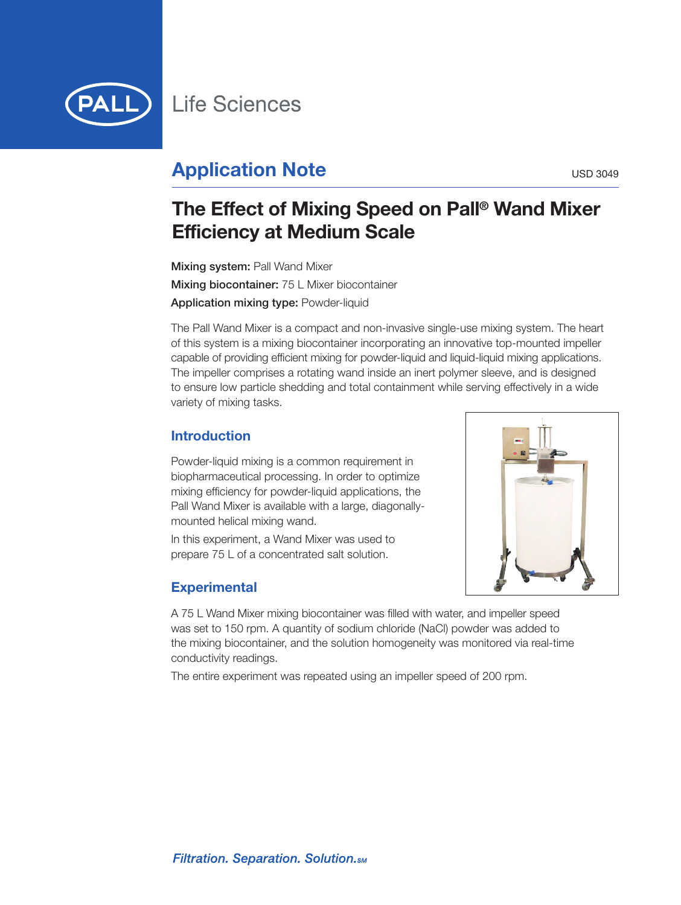

# **Application Note** USD 3049

# **The Effect of Mixing Speed on Pall ® Wand Mixer Efficiency at Medium Scale**

**Mixing system:** Pall Wand Mixer **Mixing biocontainer:** 75 L Mixer biocontainer **Application mixing type:** Powder-liquid

The Pall Wand Mixer is a compact and non-invasive single-use mixing system. The heart of this system is a mixing biocontainer incorporating an innovative top-mounted impeller capable of providing efficient mixing for powder-liquid and liquid-liquid mixing applications. The impeller comprises a rotating wand inside an inert polymer sleeve, and is designed to ensure low particle shedding and total containment while serving effectively in a wide variety of mixing tasks.

# **Introduction**

Powder-liquid mixing is a common requirement in biopharmaceutical processing. In order to optimize mixing efficiency for powder-liquid applications, the Pall Wand Mixer is available with a large, diagonallymounted helical mixing wand.

In this experiment, a Wand Mixer was used to prepare 75 L of a concentrated salt solution.

# **Experimental**

A 75 L Wand Mixer mixing biocontainer was filled with water, and impeller speed was set to 150 rpm. A quantity of sodium chloride (NaCl) powder was added to the mixing biocontainer, and the solution homogeneity was monitored via real-time conductivity readings.

The entire experiment was repeated using an impeller speed of 200 rpm.